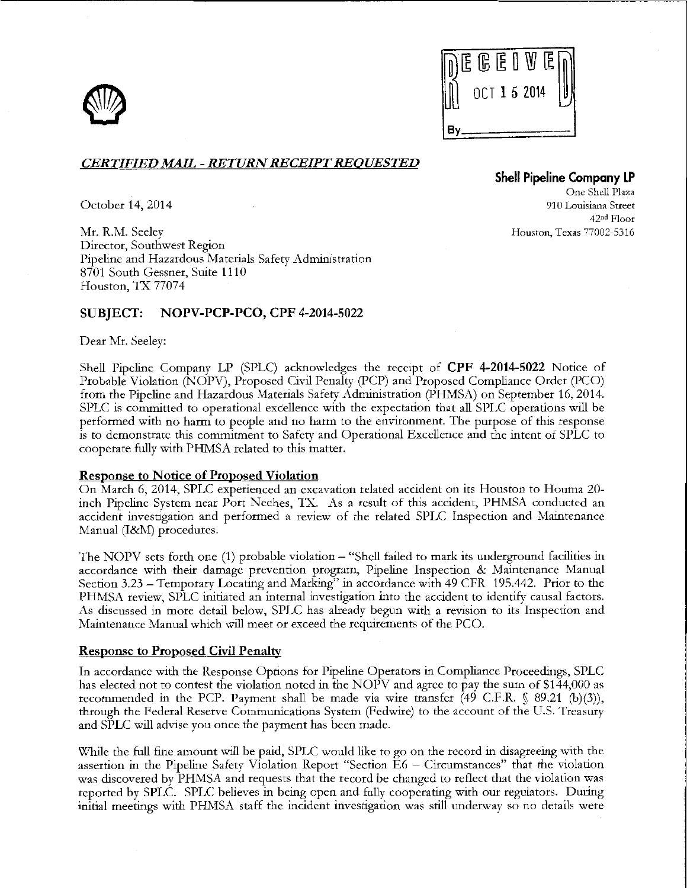



## *CERTIFIED MAIL- RETURN RECEIPT REQUESTED*

October 14, 2014

Mr. R.M. Seelev Director, Southwest Region Pipeline and Hazardous Materials Safety Administration 8701 South Gessner, Suite 1110 Houston, TX 77074

## SUBJECT: NOPV-PCP-PCO, CPF 4-2014-5022

Dear Mr. Seeley:

Shell Pipeline Company LP (SPLC) acknowledges the receipt of CPF 4-2014-5022 Notice of Probable Violation (NOPV), Proposed Civil Penalty (PCP) and Proposed Compliance Order (PCO) from the Pipeline and Hazardous Materials Safety Administration (PHMSA) on September 16,2014. SPLC is committed to operational excellence with the expectation that all SPLC operations will be performed with no harm to people and no harm to the environment. The purpose of this response is to demonstrate this commitment to Safety and Operational Excellence and the intent of SPLC to cooperate fully with PHMSA related to this matter.

### Response to Notice of Proposed Violation

On March 6, 2014, SPLC: experienced an excavation related accident on its Houston to Honma 20 inch Pipeline System near Port Neches, 1X. As a result of this accident, PHMSA conducted an accident investigation and performed a review of the related SPLC Inspection and Maintenance Manual (I&M) procedures.

The NOPV sets forth one (1) probable violation - "Shell failed to mark its underground facilities in accordance with their damage prevention program, Pipeline Inspection & Maintenance Manual Section 3.23- Temporary Locating and Marking" in accordance with 49 CFR 195.442. Prior to the PHMSA review, SPLC initiated an internal investigation into the accident to identify causal factors. As discussed in more detail below, SPLC has already begun with a revision to its Inspection and Maintenance Manual which \viii meet or exceed the requirements of the PCO.

### Response to Proposed Civil Penalty

In accordance with the Response Options for Pipeline Operators in Compliance Proceedings, SPLC has elected not to contest the violation noted in the NOPV and agree to pay the sum of \$144,000 as recommended in the PCP. Payment shall be made via wire transfer (49 C.F.R. § 89.21 (b)(3)), through the Federal Reserve Communications System (Fedwire) to the account of the U.S. Treasury and SPLC will advise you once the payment has been made.

\X'hile the full fine amount will be paid, SPLC would like to go on the record in disagreeing with the assertion in the Pipeline Safety Violation Report "Section E6 - Circumstances" that the violation was discovered by PHMSA and requests that the record be changed to reflect that the violation was reported by SPLC. SPLC believes in being open and fully cooperating "rith our regulators. During initial meetings with PHMSA staff the incident investigation was still underway so no details were

# **Shell Pipeline Company LP**

One Shell Plaza 910 Louisiana Street 42nd Floor Houston, Texas 77002-5316